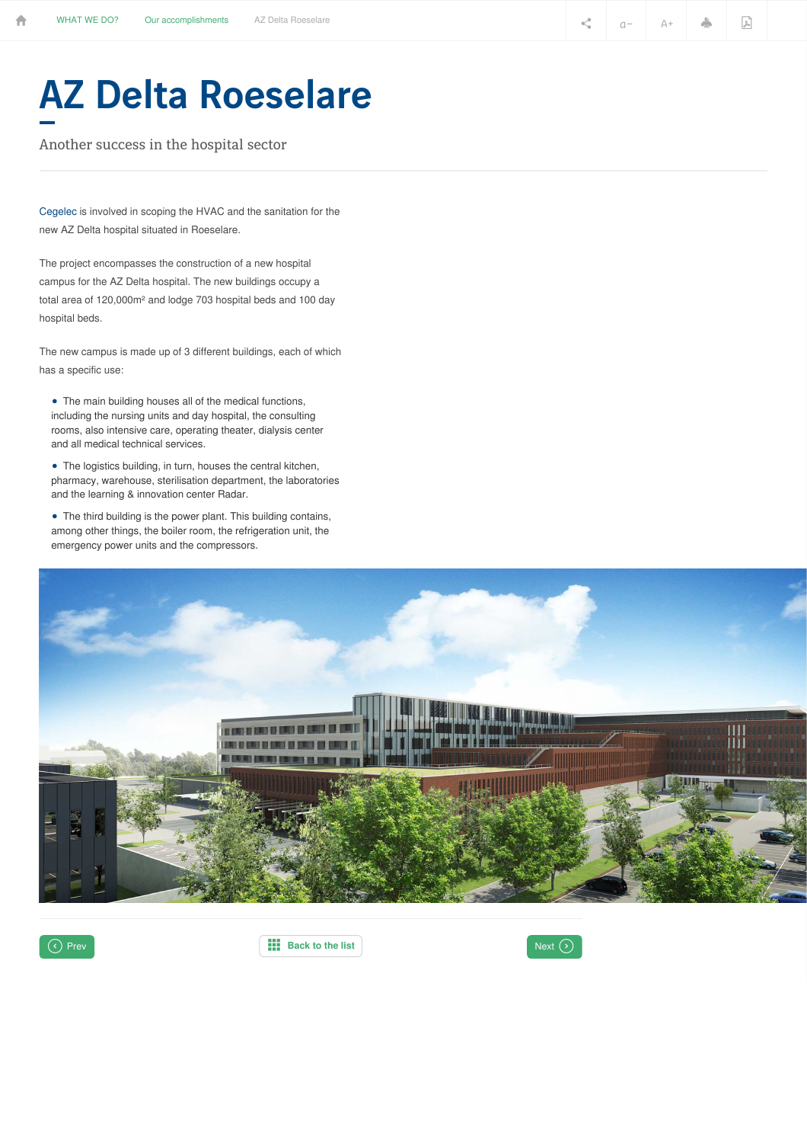## AZ Delta Roeselare

Another success in the hospital sector

[Cegelec](http://www.cegelec.be/en/what-we-do/technical-installations-buildings/) is involved in scoping the HVAC and the sanitation for the new AZ Delta hospital situated in Roeselare.

The project encompasses the construction of a new hospital campus for the AZ Delta hospital. The new buildings occupy a total area of 120,000m² and lodge 703 hospital beds and 100 day hospital beds.

The new campus is made up of 3 different buildings, each of which has a specific use:

• The main building houses all of the medical functions, including the nursing units and day hospital, the consulting rooms, also intensive care, operating theater, dialysis center and all medical technical services.

• The logistics building, in turn, houses the central kitchen, pharmacy, warehouse, sterilisation department, the laboratories and the learning & innovation center Radar.

• The third building is the power plant. This building contains, among other things, the boiler room, the refrigeration unit, the emergency power units and the compressors.





 $\bigcirc$  Prev **Ref Ref [Back](https://www.vinci-energies.be/en/what-we-do/our-accomplishments/) to** the list **Back Exercise 1** Next  $\bigcirc$